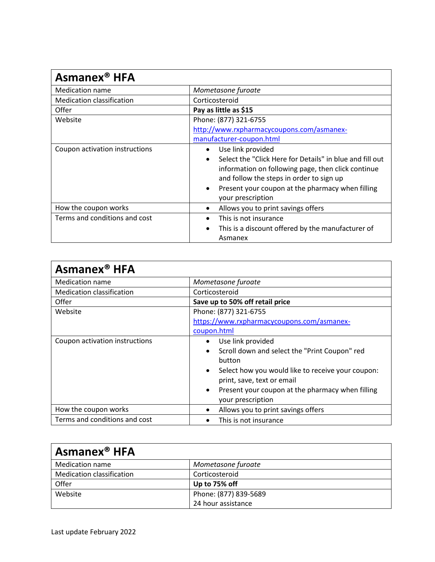| Asmanex <sup>®</sup> HFA         |                                                                                                                                                                                                                                                                                                 |
|----------------------------------|-------------------------------------------------------------------------------------------------------------------------------------------------------------------------------------------------------------------------------------------------------------------------------------------------|
| Medication name                  | Mometasone furoate                                                                                                                                                                                                                                                                              |
| <b>Medication classification</b> | Corticosteroid                                                                                                                                                                                                                                                                                  |
| Offer                            | Pay as little as \$15                                                                                                                                                                                                                                                                           |
| Website                          | Phone: (877) 321-6755                                                                                                                                                                                                                                                                           |
|                                  | http://www.rxpharmacycoupons.com/asmanex-                                                                                                                                                                                                                                                       |
|                                  | manufacturer-coupon.html                                                                                                                                                                                                                                                                        |
| Coupon activation instructions   | Use link provided<br>$\bullet$<br>Select the "Click Here for Details" in blue and fill out<br>$\bullet$<br>information on following page, then click continue<br>and follow the steps in order to sign up<br>Present your coupon at the pharmacy when filling<br>$\bullet$<br>your prescription |
| How the coupon works             | Allows you to print savings offers<br>$\bullet$                                                                                                                                                                                                                                                 |
| Terms and conditions and cost    | This is not insurance<br>This is a discount offered by the manufacturer of<br>$\bullet$<br>Asmanex                                                                                                                                                                                              |

| Asmanex <sup>®</sup> HFA         |                                                                |
|----------------------------------|----------------------------------------------------------------|
| Medication name                  | Mometasone furoate                                             |
| <b>Medication classification</b> | Corticosteroid                                                 |
| Offer                            | Save up to 50% off retail price                                |
| Website                          | Phone: (877) 321-6755                                          |
|                                  | https://www.rxpharmacycoupons.com/asmanex-                     |
|                                  | coupon.html                                                    |
| Coupon activation instructions   | Use link provided<br>$\bullet$                                 |
|                                  | Scroll down and select the "Print Coupon" red<br>$\bullet$     |
|                                  | button                                                         |
|                                  | Select how you would like to receive your coupon:<br>$\bullet$ |
|                                  | print, save, text or email                                     |
|                                  | Present your coupon at the pharmacy when filling<br>٠          |
|                                  | your prescription                                              |
| How the coupon works             | Allows you to print savings offers<br>٠                        |
| Terms and conditions and cost    | This is not insurance                                          |

| <b>Asmanex<sup>®</sup></b> HFA   |                       |
|----------------------------------|-----------------------|
| Medication name                  | Mometasone furoate    |
| <b>Medication classification</b> | Corticosteroid        |
| Offer                            | Up to 75% off         |
| Website                          | Phone: (877) 839-5689 |
|                                  | 24 hour assistance    |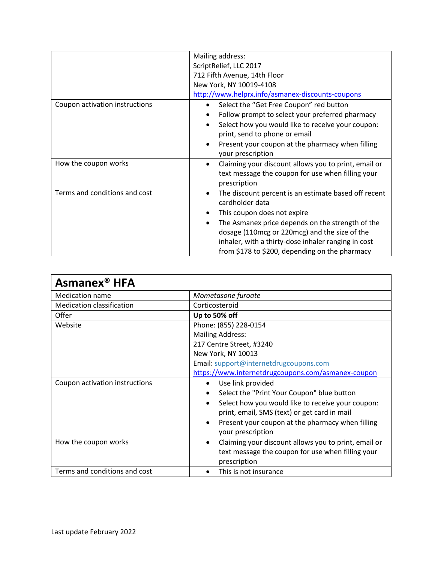|                                | Mailing address:                                                  |
|--------------------------------|-------------------------------------------------------------------|
|                                | ScriptRelief, LLC 2017                                            |
|                                | 712 Fifth Avenue, 14th Floor                                      |
|                                | New York, NY 10019-4108                                           |
|                                | http://www.helprx.info/asmanex-discounts-coupons                  |
| Coupon activation instructions | Select the "Get Free Coupon" red button<br>$\bullet$              |
|                                | Follow prompt to select your preferred pharmacy<br>$\bullet$      |
|                                | Select how you would like to receive your coupon:<br>$\bullet$    |
|                                | print, send to phone or email                                     |
|                                | Present your coupon at the pharmacy when filling<br>$\bullet$     |
|                                | your prescription                                                 |
| How the coupon works           | Claiming your discount allows you to print, email or<br>$\bullet$ |
|                                | text message the coupon for use when filling your                 |
|                                | prescription                                                      |
| Terms and conditions and cost  | The discount percent is an estimate based off recent<br>$\bullet$ |
|                                | cardholder data                                                   |
|                                | This coupon does not expire                                       |
|                                | The Asmanex price depends on the strength of the<br>$\bullet$     |
|                                | dosage (110 mcg or 220 mcg) and the size of the                   |
|                                | inhaler, with a thirty-dose inhaler ranging in cost               |
|                                | from \$178 to \$200, depending on the pharmacy                    |

| Asmanex <sup>®</sup> HFA         |                                                                                    |
|----------------------------------|------------------------------------------------------------------------------------|
| Medication name                  | Mometasone furoate                                                                 |
| <b>Medication classification</b> | Corticosteroid                                                                     |
| Offer                            | Up to 50% off                                                                      |
| Website                          | Phone: (855) 228-0154                                                              |
|                                  | <b>Mailing Address:</b>                                                            |
|                                  | 217 Centre Street, #3240                                                           |
|                                  | New York, NY 10013                                                                 |
|                                  | Email: support@internetdrugcoupons.com                                             |
|                                  | https://www.internetdrugcoupons.com/asmanex-coupon                                 |
| Coupon activation instructions   | Use link provided<br>$\bullet$                                                     |
|                                  | Select the "Print Your Coupon" blue button<br>$\bullet$                            |
|                                  | Select how you would like to receive your coupon:<br>$\bullet$                     |
|                                  | print, email, SMS (text) or get card in mail                                       |
|                                  | Present your coupon at the pharmacy when filling<br>$\bullet$<br>your prescription |
| How the coupon works             | Claiming your discount allows you to print, email or<br>$\bullet$                  |
|                                  | text message the coupon for use when filling your                                  |
|                                  | prescription                                                                       |
| Terms and conditions and cost    | This is not insurance                                                              |